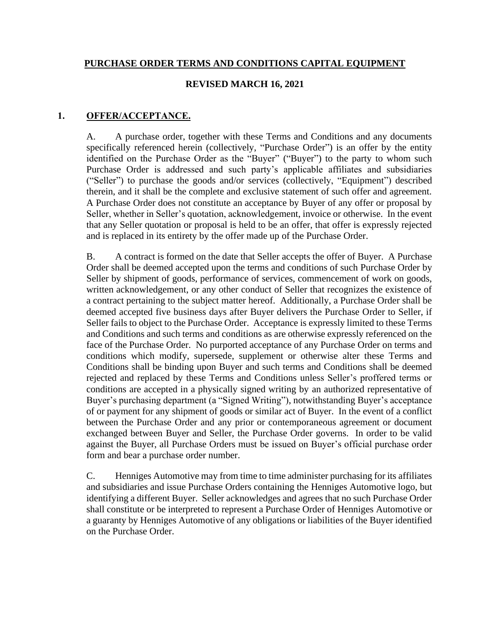#### **PURCHASE ORDER TERMS AND CONDITIONS CAPITAL EQUIPMENT**

#### **REVISED MARCH 16, 2021**

#### **1. OFFER/ACCEPTANCE.**

A. A purchase order, together with these Terms and Conditions and any documents specifically referenced herein (collectively, "Purchase Order") is an offer by the entity identified on the Purchase Order as the "Buyer" ("Buyer") to the party to whom such Purchase Order is addressed and such party's applicable affiliates and subsidiaries ("Seller") to purchase the goods and/or services (collectively, "Equipment") described therein, and it shall be the complete and exclusive statement of such offer and agreement. A Purchase Order does not constitute an acceptance by Buyer of any offer or proposal by Seller, whether in Seller's quotation, acknowledgement, invoice or otherwise. In the event that any Seller quotation or proposal is held to be an offer, that offer is expressly rejected and is replaced in its entirety by the offer made up of the Purchase Order.

B. A contract is formed on the date that Seller accepts the offer of Buyer. A Purchase Order shall be deemed accepted upon the terms and conditions of such Purchase Order by Seller by shipment of goods, performance of services, commencement of work on goods, written acknowledgement, or any other conduct of Seller that recognizes the existence of a contract pertaining to the subject matter hereof. Additionally, a Purchase Order shall be deemed accepted five business days after Buyer delivers the Purchase Order to Seller, if Seller fails to object to the Purchase Order. Acceptance is expressly limited to these Terms and Conditions and such terms and conditions as are otherwise expressly referenced on the face of the Purchase Order. No purported acceptance of any Purchase Order on terms and conditions which modify, supersede, supplement or otherwise alter these Terms and Conditions shall be binding upon Buyer and such terms and Conditions shall be deemed rejected and replaced by these Terms and Conditions unless Seller's proffered terms or conditions are accepted in a physically signed writing by an authorized representative of Buyer's purchasing department (a "Signed Writing"), notwithstanding Buyer's acceptance of or payment for any shipment of goods or similar act of Buyer. In the event of a conflict between the Purchase Order and any prior or contemporaneous agreement or document exchanged between Buyer and Seller, the Purchase Order governs. In order to be valid against the Buyer, all Purchase Orders must be issued on Buyer's official purchase order form and bear a purchase order number.

C. Henniges Automotive may from time to time administer purchasing for its affiliates and subsidiaries and issue Purchase Orders containing the Henniges Automotive logo, but identifying a different Buyer. Seller acknowledges and agrees that no such Purchase Order shall constitute or be interpreted to represent a Purchase Order of Henniges Automotive or a guaranty by Henniges Automotive of any obligations or liabilities of the Buyer identified on the Purchase Order.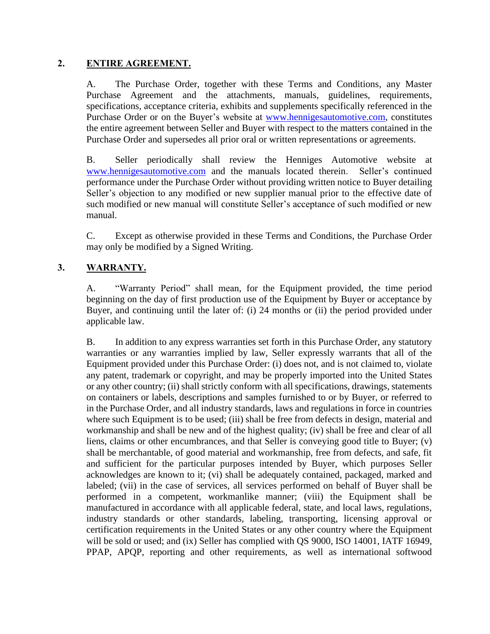#### **2. ENTIRE AGREEMENT.**

A. The Purchase Order, together with these Terms and Conditions, any Master Purchase Agreement and the attachments, manuals, guidelines, requirements, specifications, acceptance criteria, exhibits and supplements specifically referenced in the Purchase Order or on the Buyer's website at www.hennigesautomotive.com, constitutes the entire agreement between Seller and Buyer with respect to the matters contained in the Purchase Order and supersedes all prior oral or written representations or agreements.

B. Seller periodically shall review the Henniges Automotive website at [www.hennigesautomotive.com](http://www.hennigesautomotive.com/) and the manuals located therein. Seller's continued performance under the Purchase Order without providing written notice to Buyer detailing Seller's objection to any modified or new supplier manual prior to the effective date of such modified or new manual will constitute Seller's acceptance of such modified or new manual.

C. Except as otherwise provided in these Terms and Conditions, the Purchase Order may only be modified by a Signed Writing.

## **3. WARRANTY.**

A. "Warranty Period" shall mean, for the Equipment provided, the time period beginning on the day of first production use of the Equipment by Buyer or acceptance by Buyer, and continuing until the later of: (i) 24 months or (ii) the period provided under applicable law.

B. In addition to any express warranties set forth in this Purchase Order, any statutory warranties or any warranties implied by law, Seller expressly warrants that all of the Equipment provided under this Purchase Order: (i) does not, and is not claimed to, violate any patent, trademark or copyright, and may be properly imported into the United States or any other country; (ii) shall strictly conform with all specifications, drawings, statements on containers or labels, descriptions and samples furnished to or by Buyer, or referred to in the Purchase Order, and all industry standards, laws and regulations in force in countries where such Equipment is to be used; (iii) shall be free from defects in design, material and workmanship and shall be new and of the highest quality; (iv) shall be free and clear of all liens, claims or other encumbrances, and that Seller is conveying good title to Buyer; (v) shall be merchantable, of good material and workmanship, free from defects, and safe, fit and sufficient for the particular purposes intended by Buyer, which purposes Seller acknowledges are known to it; (vi) shall be adequately contained, packaged, marked and labeled; (vii) in the case of services, all services performed on behalf of Buyer shall be performed in a competent, workmanlike manner; (viii) the Equipment shall be manufactured in accordance with all applicable federal, state, and local laws, regulations, industry standards or other standards, labeling, transporting, licensing approval or certification requirements in the United States or any other country where the Equipment will be sold or used; and (ix) Seller has complied with QS 9000, ISO 14001, IATF 16949, PPAP, APQP, reporting and other requirements, as well as international softwood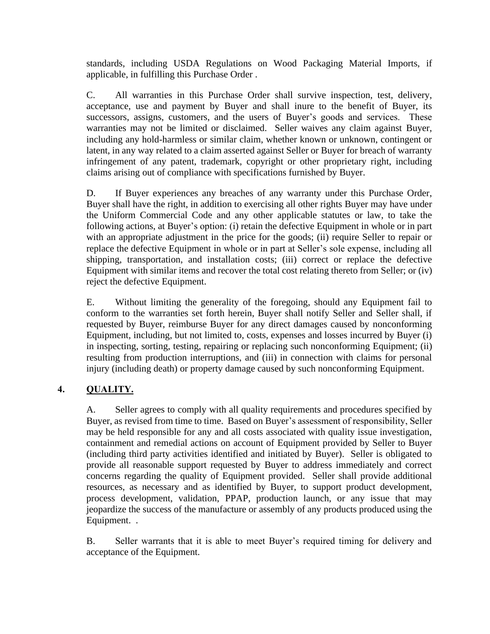standards, including USDA Regulations on Wood Packaging Material Imports, if applicable, in fulfilling this Purchase Order .

C. All warranties in this Purchase Order shall survive inspection, test, delivery, acceptance, use and payment by Buyer and shall inure to the benefit of Buyer, its successors, assigns, customers, and the users of Buyer's goods and services. These warranties may not be limited or disclaimed. Seller waives any claim against Buyer, including any hold-harmless or similar claim, whether known or unknown, contingent or latent, in any way related to a claim asserted against Seller or Buyer for breach of warranty infringement of any patent, trademark, copyright or other proprietary right, including claims arising out of compliance with specifications furnished by Buyer.

D. If Buyer experiences any breaches of any warranty under this Purchase Order, Buyer shall have the right, in addition to exercising all other rights Buyer may have under the Uniform Commercial Code and any other applicable statutes or law, to take the following actions, at Buyer's option: (i) retain the defective Equipment in whole or in part with an appropriate adjustment in the price for the goods; (ii) require Seller to repair or replace the defective Equipment in whole or in part at Seller's sole expense, including all shipping, transportation, and installation costs; (iii) correct or replace the defective Equipment with similar items and recover the total cost relating thereto from Seller; or (iv) reject the defective Equipment.

E. Without limiting the generality of the foregoing, should any Equipment fail to conform to the warranties set forth herein, Buyer shall notify Seller and Seller shall, if requested by Buyer, reimburse Buyer for any direct damages caused by nonconforming Equipment, including, but not limited to, costs, expenses and losses incurred by Buyer (i) in inspecting, sorting, testing, repairing or replacing such nonconforming Equipment; (ii) resulting from production interruptions, and (iii) in connection with claims for personal injury (including death) or property damage caused by such nonconforming Equipment.

### **4. QUALITY.**

A. Seller agrees to comply with all quality requirements and procedures specified by Buyer, as revised from time to time. Based on Buyer's assessment of responsibility, Seller may be held responsible for any and all costs associated with quality issue investigation, containment and remedial actions on account of Equipment provided by Seller to Buyer (including third party activities identified and initiated by Buyer). Seller is obligated to provide all reasonable support requested by Buyer to address immediately and correct concerns regarding the quality of Equipment provided. Seller shall provide additional resources, as necessary and as identified by Buyer, to support product development, process development, validation, PPAP, production launch, or any issue that may jeopardize the success of the manufacture or assembly of any products produced using the Equipment. .

B. Seller warrants that it is able to meet Buyer's required timing for delivery and acceptance of the Equipment.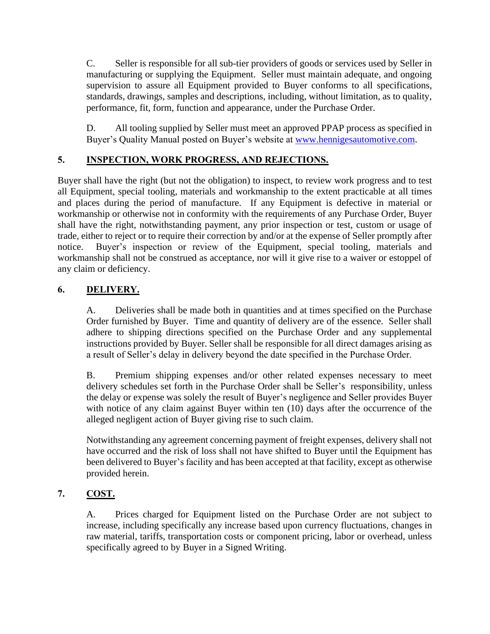C. Seller is responsible for all sub-tier providers of goods or services used by Seller in manufacturing or supplying the Equipment. Seller must maintain adequate, and ongoing supervision to assure all Equipment provided to Buyer conforms to all specifications, standards, drawings, samples and descriptions, including, without limitation, as to quality, performance, fit, form, function and appearance, under the Purchase Order.

D. All tooling supplied by Seller must meet an approved PPAP process as specified in Buyer's Quality Manual posted on Buyer's website at www.hennigesautomotive.com.

# **5. INSPECTION, WORK PROGRESS, AND REJECTIONS.**

Buyer shall have the right (but not the obligation) to inspect, to review work progress and to test all Equipment, special tooling, materials and workmanship to the extent practicable at all times and places during the period of manufacture. If any Equipment is defective in material or workmanship or otherwise not in conformity with the requirements of any Purchase Order, Buyer shall have the right, notwithstanding payment, any prior inspection or test, custom or usage of trade, either to reject or to require their correction by and/or at the expense of Seller promptly after notice. Buyer's inspection or review of the Equipment, special tooling, materials and workmanship shall not be construed as acceptance, nor will it give rise to a waiver or estoppel of any claim or deficiency.

# **6. DELIVERY.**

A. Deliveries shall be made both in quantities and at times specified on the Purchase Order furnished by Buyer. Time and quantity of delivery are of the essence. Seller shall adhere to shipping directions specified on the Purchase Order and any supplemental instructions provided by Buyer. Seller shall be responsible for all direct damages arising as a result of Seller's delay in delivery beyond the date specified in the Purchase Order.

B. Premium shipping expenses and/or other related expenses necessary to meet delivery schedules set forth in the Purchase Order shall be Seller's responsibility, unless the delay or expense was solely the result of Buyer's negligence and Seller provides Buyer with notice of any claim against Buyer within ten (10) days after the occurrence of the alleged negligent action of Buyer giving rise to such claim.

Notwithstanding any agreement concerning payment of freight expenses, delivery shall not have occurred and the risk of loss shall not have shifted to Buyer until the Equipment has been delivered to Buyer's facility and has been accepted at that facility, except as otherwise provided herein.

# **7. COST.**

A. Prices charged for Equipment listed on the Purchase Order are not subject to increase, including specifically any increase based upon currency fluctuations, changes in raw material, tariffs, transportation costs or component pricing, labor or overhead, unless specifically agreed to by Buyer in a Signed Writing.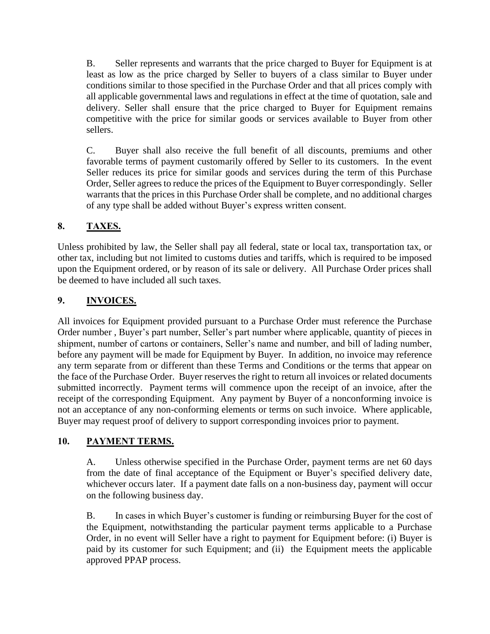B. Seller represents and warrants that the price charged to Buyer for Equipment is at least as low as the price charged by Seller to buyers of a class similar to Buyer under conditions similar to those specified in the Purchase Order and that all prices comply with all applicable governmental laws and regulations in effect at the time of quotation, sale and delivery. Seller shall ensure that the price charged to Buyer for Equipment remains competitive with the price for similar goods or services available to Buyer from other sellers.

C. Buyer shall also receive the full benefit of all discounts, premiums and other favorable terms of payment customarily offered by Seller to its customers. In the event Seller reduces its price for similar goods and services during the term of this Purchase Order, Seller agrees to reduce the prices of the Equipment to Buyer correspondingly. Seller warrants that the prices in this Purchase Order shall be complete, and no additional charges of any type shall be added without Buyer's express written consent.

# **8. TAXES.**

Unless prohibited by law, the Seller shall pay all federal, state or local tax, transportation tax, or other tax, including but not limited to customs duties and tariffs, which is required to be imposed upon the Equipment ordered, or by reason of its sale or delivery. All Purchase Order prices shall be deemed to have included all such taxes.

# **9. INVOICES.**

All invoices for Equipment provided pursuant to a Purchase Order must reference the Purchase Order number , Buyer's part number, Seller's part number where applicable, quantity of pieces in shipment, number of cartons or containers, Seller's name and number, and bill of lading number, before any payment will be made for Equipment by Buyer. In addition, no invoice may reference any term separate from or different than these Terms and Conditions or the terms that appear on the face of the Purchase Order. Buyer reserves the right to return all invoices or related documents submitted incorrectly. Payment terms will commence upon the receipt of an invoice, after the receipt of the corresponding Equipment. Any payment by Buyer of a nonconforming invoice is not an acceptance of any non-conforming elements or terms on such invoice. Where applicable, Buyer may request proof of delivery to support corresponding invoices prior to payment.

# **10. PAYMENT TERMS.**

A. Unless otherwise specified in the Purchase Order, payment terms are net 60 days from the date of final acceptance of the Equipment or Buyer's specified delivery date, whichever occurs later. If a payment date falls on a non-business day, payment will occur on the following business day.

B. In cases in which Buyer's customer is funding or reimbursing Buyer for the cost of the Equipment, notwithstanding the particular payment terms applicable to a Purchase Order, in no event will Seller have a right to payment for Equipment before: (i) Buyer is paid by its customer for such Equipment; and (ii) the Equipment meets the applicable approved PPAP process.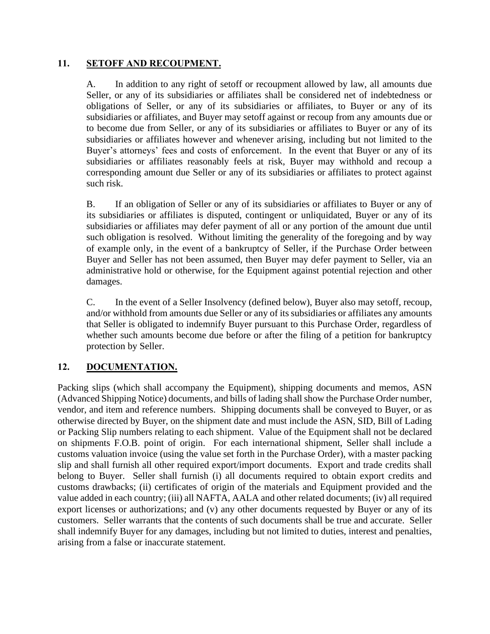#### **11. SETOFF AND RECOUPMENT.**

A. In addition to any right of setoff or recoupment allowed by law, all amounts due Seller, or any of its subsidiaries or affiliates shall be considered net of indebtedness or obligations of Seller, or any of its subsidiaries or affiliates, to Buyer or any of its subsidiaries or affiliates, and Buyer may setoff against or recoup from any amounts due or to become due from Seller, or any of its subsidiaries or affiliates to Buyer or any of its subsidiaries or affiliates however and whenever arising, including but not limited to the Buyer's attorneys' fees and costs of enforcement. In the event that Buyer or any of its subsidiaries or affiliates reasonably feels at risk, Buyer may withhold and recoup a corresponding amount due Seller or any of its subsidiaries or affiliates to protect against such risk.

B. If an obligation of Seller or any of its subsidiaries or affiliates to Buyer or any of its subsidiaries or affiliates is disputed, contingent or unliquidated, Buyer or any of its subsidiaries or affiliates may defer payment of all or any portion of the amount due until such obligation is resolved. Without limiting the generality of the foregoing and by way of example only, in the event of a bankruptcy of Seller, if the Purchase Order between Buyer and Seller has not been assumed, then Buyer may defer payment to Seller, via an administrative hold or otherwise, for the Equipment against potential rejection and other damages.

C. In the event of a Seller Insolvency (defined below), Buyer also may setoff, recoup, and/or withhold from amounts due Seller or any of its subsidiaries or affiliates any amounts that Seller is obligated to indemnify Buyer pursuant to this Purchase Order, regardless of whether such amounts become due before or after the filing of a petition for bankruptcy protection by Seller.

### **12. DOCUMENTATION.**

Packing slips (which shall accompany the Equipment), shipping documents and memos, ASN (Advanced Shipping Notice) documents, and bills of lading shall show the Purchase Order number, vendor, and item and reference numbers. Shipping documents shall be conveyed to Buyer, or as otherwise directed by Buyer, on the shipment date and must include the ASN, SID, Bill of Lading or Packing Slip numbers relating to each shipment. Value of the Equipment shall not be declared on shipments F.O.B. point of origin. For each international shipment, Seller shall include a customs valuation invoice (using the value set forth in the Purchase Order), with a master packing slip and shall furnish all other required export/import documents. Export and trade credits shall belong to Buyer. Seller shall furnish (i) all documents required to obtain export credits and customs drawbacks; (ii) certificates of origin of the materials and Equipment provided and the value added in each country; (iii) all NAFTA, AALA and other related documents; (iv) all required export licenses or authorizations; and (v) any other documents requested by Buyer or any of its customers. Seller warrants that the contents of such documents shall be true and accurate. Seller shall indemnify Buyer for any damages, including but not limited to duties, interest and penalties, arising from a false or inaccurate statement.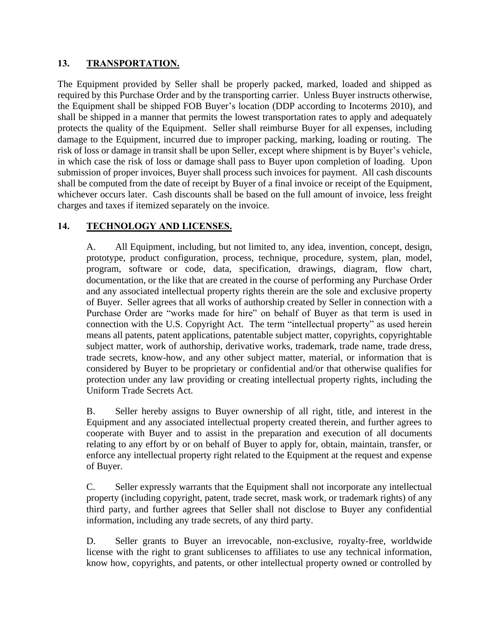### **13. TRANSPORTATION.**

The Equipment provided by Seller shall be properly packed, marked, loaded and shipped as required by this Purchase Order and by the transporting carrier. Unless Buyer instructs otherwise, the Equipment shall be shipped FOB Buyer's location (DDP according to Incoterms 2010), and shall be shipped in a manner that permits the lowest transportation rates to apply and adequately protects the quality of the Equipment. Seller shall reimburse Buyer for all expenses, including damage to the Equipment, incurred due to improper packing, marking, loading or routing. The risk of loss or damage in transit shall be upon Seller, except where shipment is by Buyer's vehicle, in which case the risk of loss or damage shall pass to Buyer upon completion of loading. Upon submission of proper invoices, Buyer shall process such invoices for payment. All cash discounts shall be computed from the date of receipt by Buyer of a final invoice or receipt of the Equipment, whichever occurs later. Cash discounts shall be based on the full amount of invoice, less freight charges and taxes if itemized separately on the invoice.

# **14. TECHNOLOGY AND LICENSES.**

A. All Equipment, including, but not limited to, any idea, invention, concept, design, prototype, product configuration, process, technique, procedure, system, plan, model, program, software or code, data, specification, drawings, diagram, flow chart, documentation, or the like that are created in the course of performing any Purchase Order and any associated intellectual property rights therein are the sole and exclusive property of Buyer. Seller agrees that all works of authorship created by Seller in connection with a Purchase Order are "works made for hire" on behalf of Buyer as that term is used in connection with the U.S. Copyright Act. The term "intellectual property" as used herein means all patents, patent applications, patentable subject matter, copyrights, copyrightable subject matter, work of authorship, derivative works, trademark, trade name, trade dress, trade secrets, know-how, and any other subject matter, material, or information that is considered by Buyer to be proprietary or confidential and/or that otherwise qualifies for protection under any law providing or creating intellectual property rights, including the Uniform Trade Secrets Act.

B. Seller hereby assigns to Buyer ownership of all right, title, and interest in the Equipment and any associated intellectual property created therein, and further agrees to cooperate with Buyer and to assist in the preparation and execution of all documents relating to any effort by or on behalf of Buyer to apply for, obtain, maintain, transfer, or enforce any intellectual property right related to the Equipment at the request and expense of Buyer.

C. Seller expressly warrants that the Equipment shall not incorporate any intellectual property (including copyright, patent, trade secret, mask work, or trademark rights) of any third party, and further agrees that Seller shall not disclose to Buyer any confidential information, including any trade secrets, of any third party.

D. Seller grants to Buyer an irrevocable, non-exclusive, royalty-free, worldwide license with the right to grant sublicenses to affiliates to use any technical information, know how, copyrights, and patents, or other intellectual property owned or controlled by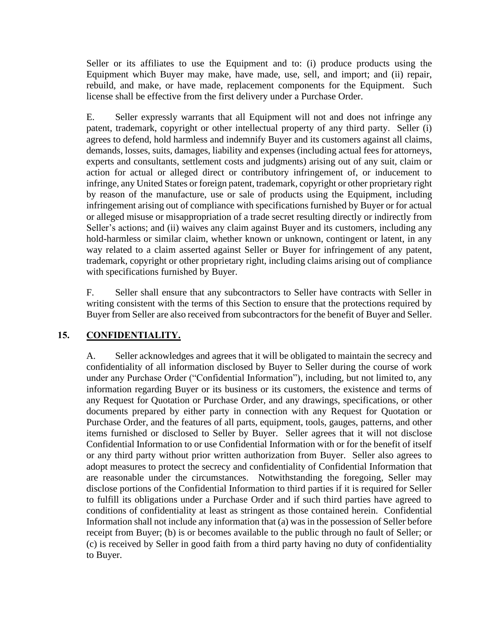Seller or its affiliates to use the Equipment and to: (i) produce products using the Equipment which Buyer may make, have made, use, sell, and import; and (ii) repair, rebuild, and make, or have made, replacement components for the Equipment. Such license shall be effective from the first delivery under a Purchase Order.

E. Seller expressly warrants that all Equipment will not and does not infringe any patent, trademark, copyright or other intellectual property of any third party. Seller (i) agrees to defend, hold harmless and indemnify Buyer and its customers against all claims, demands, losses, suits, damages, liability and expenses (including actual fees for attorneys, experts and consultants, settlement costs and judgments) arising out of any suit, claim or action for actual or alleged direct or contributory infringement of, or inducement to infringe, any United States or foreign patent, trademark, copyright or other proprietary right by reason of the manufacture, use or sale of products using the Equipment, including infringement arising out of compliance with specifications furnished by Buyer or for actual or alleged misuse or misappropriation of a trade secret resulting directly or indirectly from Seller's actions; and (ii) waives any claim against Buyer and its customers, including any hold-harmless or similar claim, whether known or unknown, contingent or latent, in any way related to a claim asserted against Seller or Buyer for infringement of any patent, trademark, copyright or other proprietary right, including claims arising out of compliance with specifications furnished by Buyer.

F. Seller shall ensure that any subcontractors to Seller have contracts with Seller in writing consistent with the terms of this Section to ensure that the protections required by Buyer from Seller are also received from subcontractors for the benefit of Buyer and Seller.

# **15. CONFIDENTIALITY.**

A. Seller acknowledges and agrees that it will be obligated to maintain the secrecy and confidentiality of all information disclosed by Buyer to Seller during the course of work under any Purchase Order ("Confidential Information"), including, but not limited to, any information regarding Buyer or its business or its customers, the existence and terms of any Request for Quotation or Purchase Order, and any drawings, specifications, or other documents prepared by either party in connection with any Request for Quotation or Purchase Order, and the features of all parts, equipment, tools, gauges, patterns, and other items furnished or disclosed to Seller by Buyer. Seller agrees that it will not disclose Confidential Information to or use Confidential Information with or for the benefit of itself or any third party without prior written authorization from Buyer. Seller also agrees to adopt measures to protect the secrecy and confidentiality of Confidential Information that are reasonable under the circumstances. Notwithstanding the foregoing, Seller may disclose portions of the Confidential Information to third parties if it is required for Seller to fulfill its obligations under a Purchase Order and if such third parties have agreed to conditions of confidentiality at least as stringent as those contained herein. Confidential Information shall not include any information that (a) was in the possession of Seller before receipt from Buyer; (b) is or becomes available to the public through no fault of Seller; or (c) is received by Seller in good faith from a third party having no duty of confidentiality to Buyer.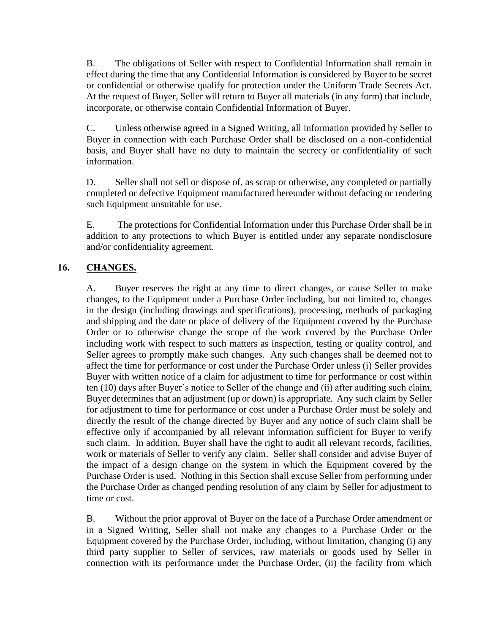B. The obligations of Seller with respect to Confidential Information shall remain in effect during the time that any Confidential Information is considered by Buyer to be secret or confidential or otherwise qualify for protection under the Uniform Trade Secrets Act. At the request of Buyer, Seller will return to Buyer all materials (in any form) that include, incorporate, or otherwise contain Confidential Information of Buyer.

C. Unless otherwise agreed in a Signed Writing, all information provided by Seller to Buyer in connection with each Purchase Order shall be disclosed on a non-confidential basis, and Buyer shall have no duty to maintain the secrecy or confidentiality of such information.

D. Seller shall not sell or dispose of, as scrap or otherwise, any completed or partially completed or defective Equipment manufactured hereunder without defacing or rendering such Equipment unsuitable for use.

E. The protections for Confidential Information under this Purchase Order shall be in addition to any protections to which Buyer is entitled under any separate nondisclosure and/or confidentiality agreement.

# **16. CHANGES.**

A. Buyer reserves the right at any time to direct changes, or cause Seller to make changes, to the Equipment under a Purchase Order including, but not limited to, changes in the design (including drawings and specifications), processing, methods of packaging and shipping and the date or place of delivery of the Equipment covered by the Purchase Order or to otherwise change the scope of the work covered by the Purchase Order including work with respect to such matters as inspection, testing or quality control, and Seller agrees to promptly make such changes. Any such changes shall be deemed not to affect the time for performance or cost under the Purchase Order unless (i) Seller provides Buyer with written notice of a claim for adjustment to time for performance or cost within ten (10) days after Buyer's notice to Seller of the change and (ii) after auditing such claim, Buyer determines that an adjustment (up or down) is appropriate. Any such claim by Seller for adjustment to time for performance or cost under a Purchase Order must be solely and directly the result of the change directed by Buyer and any notice of such claim shall be effective only if accompanied by all relevant information sufficient for Buyer to verify such claim. In addition, Buyer shall have the right to audit all relevant records, facilities, work or materials of Seller to verify any claim. Seller shall consider and advise Buyer of the impact of a design change on the system in which the Equipment covered by the Purchase Order is used. Nothing in this Section shall excuse Seller from performing under the Purchase Order as changed pending resolution of any claim by Seller for adjustment to time or cost.

B. Without the prior approval of Buyer on the face of a Purchase Order amendment or in a Signed Writing, Seller shall not make any changes to a Purchase Order or the Equipment covered by the Purchase Order, including, without limitation, changing (i) any third party supplier to Seller of services, raw materials or goods used by Seller in connection with its performance under the Purchase Order, (ii) the facility from which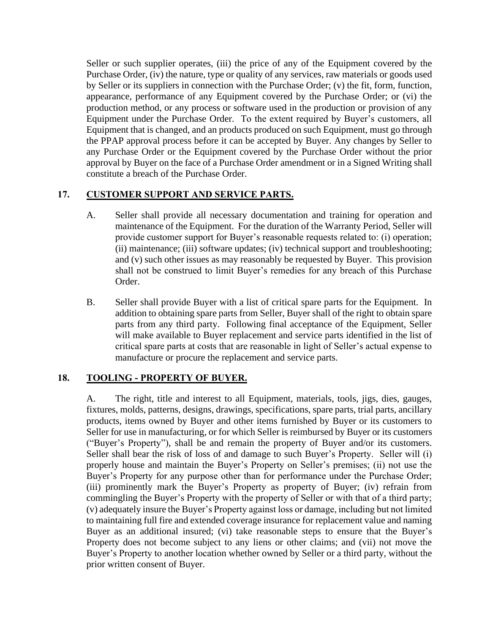Seller or such supplier operates, (iii) the price of any of the Equipment covered by the Purchase Order, (iv) the nature, type or quality of any services, raw materials or goods used by Seller or its suppliers in connection with the Purchase Order; (v) the fit, form, function, appearance, performance of any Equipment covered by the Purchase Order; or (vi) the production method, or any process or software used in the production or provision of any Equipment under the Purchase Order. To the extent required by Buyer's customers, all Equipment that is changed, and an products produced on such Equipment, must go through the PPAP approval process before it can be accepted by Buyer. Any changes by Seller to any Purchase Order or the Equipment covered by the Purchase Order without the prior approval by Buyer on the face of a Purchase Order amendment or in a Signed Writing shall constitute a breach of the Purchase Order.

## **17. CUSTOMER SUPPORT AND SERVICE PARTS.**

- A. Seller shall provide all necessary documentation and training for operation and maintenance of the Equipment. For the duration of the Warranty Period, Seller will provide customer support for Buyer's reasonable requests related to: (i) operation; (ii) maintenance; (iii) software updates; (iv) technical support and troubleshooting; and (v) such other issues as may reasonably be requested by Buyer. This provision shall not be construed to limit Buyer's remedies for any breach of this Purchase Order.
- B. Seller shall provide Buyer with a list of critical spare parts for the Equipment. In addition to obtaining spare parts from Seller, Buyer shall of the right to obtain spare parts from any third party. Following final acceptance of the Equipment, Seller will make available to Buyer replacement and service parts identified in the list of critical spare parts at costs that are reasonable in light of Seller's actual expense to manufacture or procure the replacement and service parts.

### **18. TOOLING - PROPERTY OF BUYER.**

A. The right, title and interest to all Equipment, materials, tools, jigs, dies, gauges, fixtures, molds, patterns, designs, drawings, specifications, spare parts, trial parts, ancillary products, items owned by Buyer and other items furnished by Buyer or its customers to Seller for use in manufacturing, or for which Seller is reimbursed by Buyer or its customers ("Buyer's Property"), shall be and remain the property of Buyer and/or its customers. Seller shall bear the risk of loss of and damage to such Buyer's Property. Seller will (i) properly house and maintain the Buyer's Property on Seller's premises; (ii) not use the Buyer's Property for any purpose other than for performance under the Purchase Order; (iii) prominently mark the Buyer's Property as property of Buyer; (iv) refrain from commingling the Buyer's Property with the property of Seller or with that of a third party; (v) adequately insure the Buyer's Property against loss or damage, including but not limited to maintaining full fire and extended coverage insurance for replacement value and naming Buyer as an additional insured; (vi) take reasonable steps to ensure that the Buyer's Property does not become subject to any liens or other claims; and (vii) not move the Buyer's Property to another location whether owned by Seller or a third party, without the prior written consent of Buyer.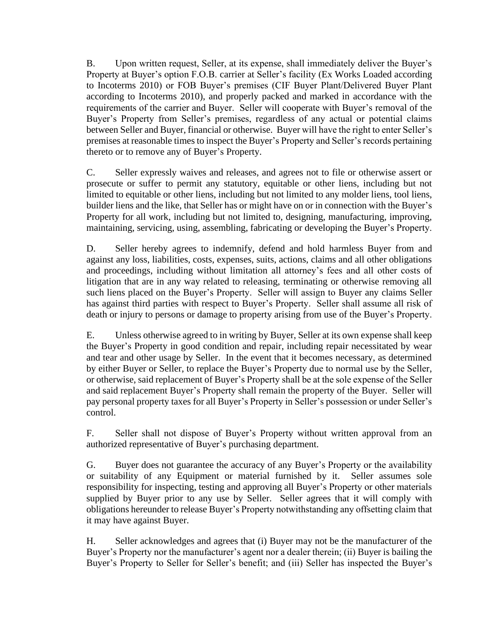B. Upon written request, Seller, at its expense, shall immediately deliver the Buyer's Property at Buyer's option F.O.B. carrier at Seller's facility (Ex Works Loaded according to Incoterms 2010) or FOB Buyer's premises (CIF Buyer Plant/Delivered Buyer Plant according to Incoterms 2010), and properly packed and marked in accordance with the requirements of the carrier and Buyer. Seller will cooperate with Buyer's removal of the Buyer's Property from Seller's premises, regardless of any actual or potential claims between Seller and Buyer, financial or otherwise. Buyer will have the right to enter Seller's premises at reasonable times to inspect the Buyer's Property and Seller's records pertaining thereto or to remove any of Buyer's Property.

C. Seller expressly waives and releases, and agrees not to file or otherwise assert or prosecute or suffer to permit any statutory, equitable or other liens, including but not limited to equitable or other liens, including but not limited to any molder liens, tool liens, builder liens and the like, that Seller has or might have on or in connection with the Buyer's Property for all work, including but not limited to, designing, manufacturing, improving, maintaining, servicing, using, assembling, fabricating or developing the Buyer's Property.

D. Seller hereby agrees to indemnify, defend and hold harmless Buyer from and against any loss, liabilities, costs, expenses, suits, actions, claims and all other obligations and proceedings, including without limitation all attorney's fees and all other costs of litigation that are in any way related to releasing, terminating or otherwise removing all such liens placed on the Buyer's Property. Seller will assign to Buyer any claims Seller has against third parties with respect to Buyer's Property. Seller shall assume all risk of death or injury to persons or damage to property arising from use of the Buyer's Property.

E. Unless otherwise agreed to in writing by Buyer, Seller at its own expense shall keep the Buyer's Property in good condition and repair, including repair necessitated by wear and tear and other usage by Seller. In the event that it becomes necessary, as determined by either Buyer or Seller, to replace the Buyer's Property due to normal use by the Seller, or otherwise, said replacement of Buyer's Property shall be at the sole expense of the Seller and said replacement Buyer's Property shall remain the property of the Buyer. Seller will pay personal property taxes for all Buyer's Property in Seller's possession or under Seller's control.

F. Seller shall not dispose of Buyer's Property without written approval from an authorized representative of Buyer's purchasing department.

G. Buyer does not guarantee the accuracy of any Buyer's Property or the availability or suitability of any Equipment or material furnished by it. Seller assumes sole responsibility for inspecting, testing and approving all Buyer's Property or other materials supplied by Buyer prior to any use by Seller. Seller agrees that it will comply with obligations hereunder to release Buyer's Property notwithstanding any offsetting claim that it may have against Buyer.

H. Seller acknowledges and agrees that (i) Buyer may not be the manufacturer of the Buyer's Property nor the manufacturer's agent nor a dealer therein; (ii) Buyer is bailing the Buyer's Property to Seller for Seller's benefit; and (iii) Seller has inspected the Buyer's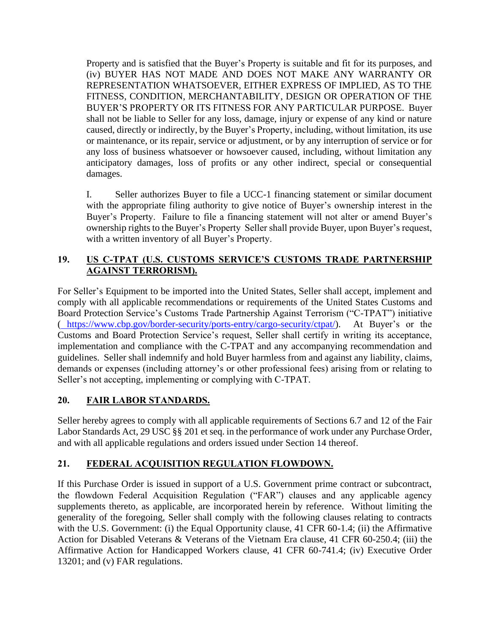Property and is satisfied that the Buyer's Property is suitable and fit for its purposes, and (iv) BUYER HAS NOT MADE AND DOES NOT MAKE ANY WARRANTY OR REPRESENTATION WHATSOEVER, EITHER EXPRESS OF IMPLIED, AS TO THE FITNESS, CONDITION, MERCHANTABILITY, DESIGN OR OPERATION OF THE BUYER'S PROPERTY OR ITS FITNESS FOR ANY PARTICULAR PURPOSE. Buyer shall not be liable to Seller for any loss, damage, injury or expense of any kind or nature caused, directly or indirectly, by the Buyer's Property, including, without limitation, its use or maintenance, or its repair, service or adjustment, or by any interruption of service or for any loss of business whatsoever or howsoever caused, including, without limitation any anticipatory damages, loss of profits or any other indirect, special or consequential damages.

I. Seller authorizes Buyer to file a UCC-1 financing statement or similar document with the appropriate filing authority to give notice of Buyer's ownership interest in the Buyer's Property. Failure to file a financing statement will not alter or amend Buyer's ownership rights to the Buyer's Property Seller shall provide Buyer, upon Buyer's request, with a written inventory of all Buyer's Property.

# **19. US C-TPAT (U.S. CUSTOMS SERVICE'S CUSTOMS TRADE PARTNERSHIP AGAINST TERRORISM).**

For Seller's Equipment to be imported into the United States, Seller shall accept, implement and comply with all applicable recommendations or requirements of the United States Customs and Board Protection Service's Customs Trade Partnership Against Terrorism ("C-TPAT") initiative ( [https://www.cbp.gov/border-security/ports-entry/cargo-security/ctpat/\)](https://www.cbp.gov/border-security/ports-entry/cargo-security/ctpat/). At Buyer's or the Customs and Board Protection Service's request, Seller shall certify in writing its acceptance, implementation and compliance with the C-TPAT and any accompanying recommendation and guidelines. Seller shall indemnify and hold Buyer harmless from and against any liability, claims, demands or expenses (including attorney's or other professional fees) arising from or relating to Seller's not accepting, implementing or complying with C-TPAT.

# **20. FAIR LABOR STANDARDS.**

Seller hereby agrees to comply with all applicable requirements of Sections 6.7 and 12 of the Fair Labor Standards Act, 29 USC §§ 201 et seq. in the performance of work under any Purchase Order, and with all applicable regulations and orders issued under Section 14 thereof.

# <span id="page-11-0"></span>**21. FEDERAL ACQUISITION REGULATION FLOWDOWN.**

If this Purchase Order is issued in support of a U.S. Government prime contract or subcontract, the flowdown Federal Acquisition Regulation ("FAR") clauses and any applicable agency supplements thereto, as applicable, are incorporated herein by reference. Without limiting the generality of the foregoing, Seller shall comply with the following clauses relating to contracts with the U.S. Government: (i) the Equal Opportunity clause, 41 CFR 60-1.4; (ii) the Affirmative Action for Disabled Veterans & Veterans of the Vietnam Era clause, 41 CFR 60-250.4; (iii) the Affirmative Action for Handicapped Workers clause, 41 CFR 60-741.4; (iv) Executive Order 13201; and (v) FAR regulations.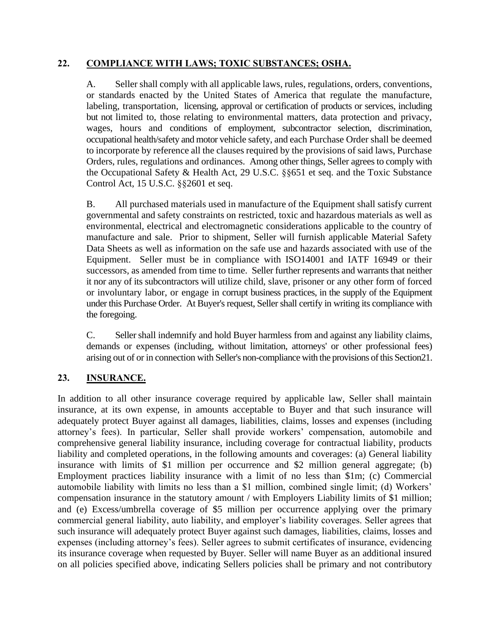#### **22. COMPLIANCE WITH LAWS; TOXIC SUBSTANCES; OSHA.**

A. Seller shall comply with all applicable laws, rules, regulations, orders, conventions, or standards enacted by the United States of America that regulate the manufacture, labeling, transportation, licensing, approval or certification of products or services, including but not limited to, those relating to environmental matters, data protection and privacy, wages, hours and conditions of employment, subcontractor selection, discrimination, occupational health/safety and motor vehicle safety, and each Purchase Order shall be deemed to incorporate by reference all the clauses required by the provisions of said laws, Purchase Orders, rules, regulations and ordinances. Among other things, Seller agrees to comply with the Occupational Safety & Health Act, 29 U.S.C. §§651 et seq. and the Toxic Substance Control Act, 15 U.S.C. §§2601 et seq.

B. All purchased materials used in manufacture of the Equipment shall satisfy current governmental and safety constraints on restricted, toxic and hazardous materials as well as environmental, electrical and electromagnetic considerations applicable to the country of manufacture and sale. Prior to shipment, Seller will furnish applicable Material Safety Data Sheets as well as information on the safe use and hazards associated with use of the Equipment. Seller must be in compliance with ISO14001 and IATF 16949 or their successors, as amended from time to time. Seller further represents and warrants that neither it nor any of its subcontractors will utilize child, slave, prisoner or any other form of forced or involuntary labor, or engage in corrupt business practices, in the supply of the Equipment under this Purchase Order. At Buyer's request, Seller shall certify in writing its compliance with the foregoing.

C. Seller shall indemnify and hold Buyer harmless from and against any liability claims, demands or expenses (including, without limitation, attorneys' or other professional fees) arising out of or in connection with Seller's non-compliance with the provisions of this Sectio[n21.](#page-11-0)

# **23. INSURANCE.**

In addition to all other insurance coverage required by applicable law, Seller shall maintain insurance, at its own expense, in amounts acceptable to Buyer and that such insurance will adequately protect Buyer against all damages, liabilities, claims, losses and expenses (including attorney's fees). In particular, Seller shall provide workers' compensation, automobile and comprehensive general liability insurance, including coverage for contractual liability, products liability and completed operations, in the following amounts and coverages: (a) General liability insurance with limits of \$1 million per occurrence and \$2 million general aggregate; (b) Employment practices liability insurance with a limit of no less than \$1m; (c) Commercial automobile liability with limits no less than a \$1 million, combined single limit; (d) Workers' compensation insurance in the statutory amount / with Employers Liability limits of \$1 million; and (e) Excess/umbrella coverage of \$5 million per occurrence applying over the primary commercial general liability, auto liability, and employer's liability coverages. Seller agrees that such insurance will adequately protect Buyer against such damages, liabilities, claims, losses and expenses (including attorney's fees). Seller agrees to submit certificates of insurance, evidencing its insurance coverage when requested by Buyer. Seller will name Buyer as an additional insured on all policies specified above, indicating Sellers policies shall be primary and not contributory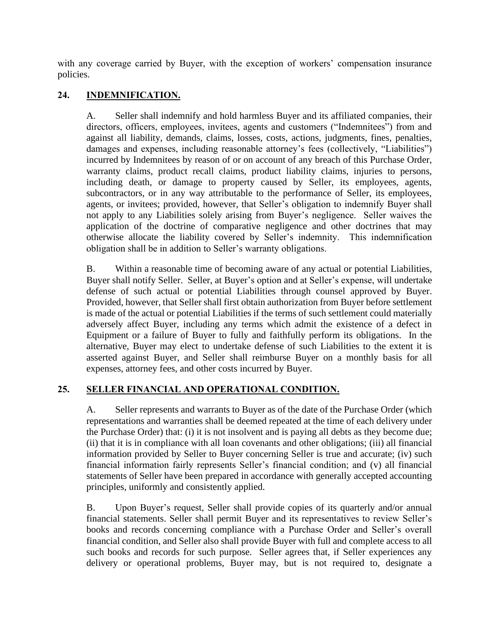with any coverage carried by Buyer, with the exception of workers' compensation insurance policies.

## **24. INDEMNIFICATION.**

A. Seller shall indemnify and hold harmless Buyer and its affiliated companies, their directors, officers, employees, invitees, agents and customers ("Indemnitees") from and against all liability, demands, claims, losses, costs, actions, judgments, fines, penalties, damages and expenses, including reasonable attorney's fees (collectively, "Liabilities") incurred by Indemnitees by reason of or on account of any breach of this Purchase Order, warranty claims, product recall claims, product liability claims, injuries to persons, including death, or damage to property caused by Seller, its employees, agents, subcontractors, or in any way attributable to the performance of Seller, its employees, agents, or invitees; provided, however, that Seller's obligation to indemnify Buyer shall not apply to any Liabilities solely arising from Buyer's negligence. Seller waives the application of the doctrine of comparative negligence and other doctrines that may otherwise allocate the liability covered by Seller's indemnity. This indemnification obligation shall be in addition to Seller's warranty obligations.

B. Within a reasonable time of becoming aware of any actual or potential Liabilities, Buyer shall notify Seller. Seller, at Buyer's option and at Seller's expense, will undertake defense of such actual or potential Liabilities through counsel approved by Buyer. Provided, however, that Seller shall first obtain authorization from Buyer before settlement is made of the actual or potential Liabilities if the terms of such settlement could materially adversely affect Buyer, including any terms which admit the existence of a defect in Equipment or a failure of Buyer to fully and faithfully perform its obligations. In the alternative, Buyer may elect to undertake defense of such Liabilities to the extent it is asserted against Buyer, and Seller shall reimburse Buyer on a monthly basis for all expenses, attorney fees, and other costs incurred by Buyer.

### **25. SELLER FINANCIAL AND OPERATIONAL CONDITION.**

A. Seller represents and warrants to Buyer as of the date of the Purchase Order (which representations and warranties shall be deemed repeated at the time of each delivery under the Purchase Order) that: (i) it is not insolvent and is paying all debts as they become due; (ii) that it is in compliance with all loan covenants and other obligations; (iii) all financial information provided by Seller to Buyer concerning Seller is true and accurate; (iv) such financial information fairly represents Seller's financial condition; and (v) all financial statements of Seller have been prepared in accordance with generally accepted accounting principles, uniformly and consistently applied.

B. Upon Buyer's request, Seller shall provide copies of its quarterly and/or annual financial statements. Seller shall permit Buyer and its representatives to review Seller's books and records concerning compliance with a Purchase Order and Seller's overall financial condition, and Seller also shall provide Buyer with full and complete access to all such books and records for such purpose. Seller agrees that, if Seller experiences any delivery or operational problems, Buyer may, but is not required to, designate a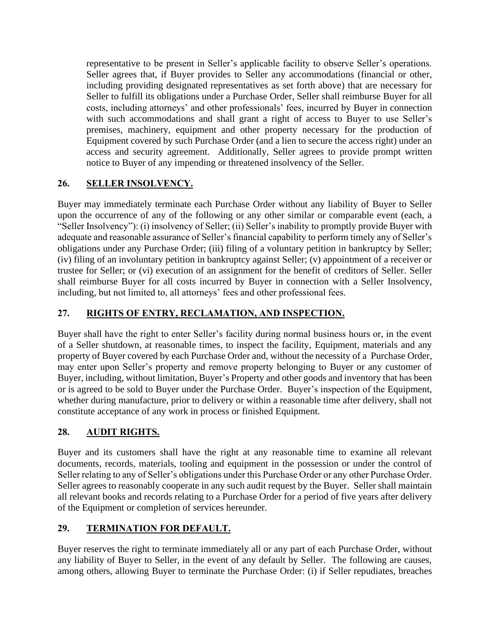representative to be present in Seller's applicable facility to observe Seller's operations. Seller agrees that, if Buyer provides to Seller any accommodations (financial or other, including providing designated representatives as set forth above) that are necessary for Seller to fulfill its obligations under a Purchase Order, Seller shall reimburse Buyer for all costs, including attorneys' and other professionals' fees, incurred by Buyer in connection with such accommodations and shall grant a right of access to Buyer to use Seller's premises, machinery, equipment and other property necessary for the production of Equipment covered by such Purchase Order (and a lien to secure the access right) under an access and security agreement. Additionally, Seller agrees to provide prompt written notice to Buyer of any impending or threatened insolvency of the Seller.

# **26. SELLER INSOLVENCY.**

Buyer may immediately terminate each Purchase Order without any liability of Buyer to Seller upon the occurrence of any of the following or any other similar or comparable event (each, a "Seller Insolvency"): (i) insolvency of Seller; (ii) Seller's inability to promptly provide Buyer with adequate and reasonable assurance of Seller's financial capability to perform timely any of Seller's obligations under any Purchase Order; (iii) filing of a voluntary petition in bankruptcy by Seller; (iv) filing of an involuntary petition in bankruptcy against Seller; (v) appointment of a receiver or trustee for Seller; or (vi) execution of an assignment for the benefit of creditors of Seller. Seller shall reimburse Buyer for all costs incurred by Buyer in connection with a Seller Insolvency, including, but not limited to, all attorneys' fees and other professional fees.

# **27. RIGHTS OF ENTRY, RECLAMATION, AND INSPECTION.**

Buyer shall have the right to enter Seller's facility during normal business hours or, in the event of a Seller shutdown, at reasonable times, to inspect the facility, Equipment, materials and any property of Buyer covered by each Purchase Order and, without the necessity of a Purchase Order, may enter upon Seller's property and remove property belonging to Buyer or any customer of Buyer, including, without limitation, Buyer's Property and other goods and inventory that has been or is agreed to be sold to Buyer under the Purchase Order. Buyer's inspection of the Equipment, whether during manufacture, prior to delivery or within a reasonable time after delivery, shall not constitute acceptance of any work in process or finished Equipment.

# **28. AUDIT RIGHTS.**

Buyer and its customers shall have the right at any reasonable time to examine all relevant documents, records, materials, tooling and equipment in the possession or under the control of Seller relating to any of Seller's obligations under this Purchase Order or any other Purchase Order. Seller agrees to reasonably cooperate in any such audit request by the Buyer. Seller shall maintain all relevant books and records relating to a Purchase Order for a period of five years after delivery of the Equipment or completion of services hereunder.

# **29. TERMINATION FOR DEFAULT.**

Buyer reserves the right to terminate immediately all or any part of each Purchase Order, without any liability of Buyer to Seller, in the event of any default by Seller. The following are causes, among others, allowing Buyer to terminate the Purchase Order: (i) if Seller repudiates, breaches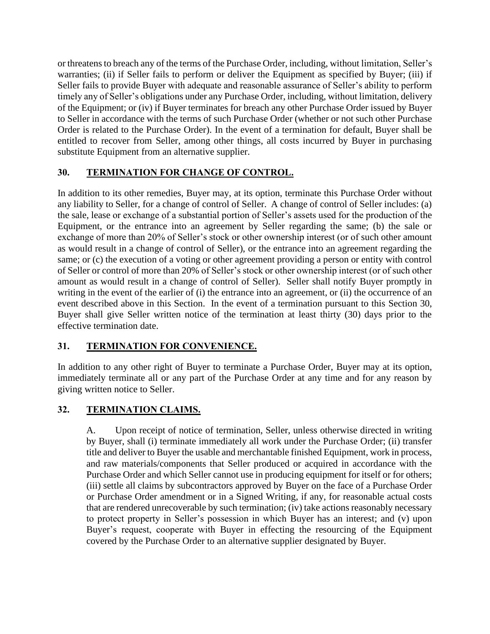or threatens to breach any of the terms of the Purchase Order, including, without limitation, Seller's warranties; (ii) if Seller fails to perform or deliver the Equipment as specified by Buyer; (iii) if Seller fails to provide Buyer with adequate and reasonable assurance of Seller's ability to perform timely any of Seller's obligations under any Purchase Order, including, without limitation, delivery of the Equipment; or (iv) if Buyer terminates for breach any other Purchase Order issued by Buyer to Seller in accordance with the terms of such Purchase Order (whether or not such other Purchase Order is related to the Purchase Order). In the event of a termination for default, Buyer shall be entitled to recover from Seller, among other things, all costs incurred by Buyer in purchasing substitute Equipment from an alternative supplier.

# <span id="page-15-0"></span>**30. TERMINATION FOR CHANGE OF CONTROL.**

In addition to its other remedies, Buyer may, at its option, terminate this Purchase Order without any liability to Seller, for a change of control of Seller. A change of control of Seller includes: (a) the sale, lease or exchange of a substantial portion of Seller's assets used for the production of the Equipment, or the entrance into an agreement by Seller regarding the same; (b) the sale or exchange of more than 20% of Seller's stock or other ownership interest (or of such other amount as would result in a change of control of Seller), or the entrance into an agreement regarding the same; or (c) the execution of a voting or other agreement providing a person or entity with control of Seller or control of more than 20% of Seller's stock or other ownership interest (or of such other amount as would result in a change of control of Seller). Seller shall notify Buyer promptly in writing in the event of the earlier of (i) the entrance into an agreement, or (ii) the occurrence of an event described above in this Section. In the event of a termination pursuant to this Section [30,](#page-15-0) Buyer shall give Seller written notice of the termination at least thirty (30) days prior to the effective termination date.

# **31. TERMINATION FOR CONVENIENCE.**

In addition to any other right of Buyer to terminate a Purchase Order, Buyer may at its option, immediately terminate all or any part of the Purchase Order at any time and for any reason by giving written notice to Seller.

# **32. TERMINATION CLAIMS.**

A. Upon receipt of notice of termination, Seller, unless otherwise directed in writing by Buyer, shall (i) terminate immediately all work under the Purchase Order; (ii) transfer title and deliver to Buyer the usable and merchantable finished Equipment, work in process, and raw materials/components that Seller produced or acquired in accordance with the Purchase Order and which Seller cannot use in producing equipment for itself or for others; (iii) settle all claims by subcontractors approved by Buyer on the face of a Purchase Order or Purchase Order amendment or in a Signed Writing, if any, for reasonable actual costs that are rendered unrecoverable by such termination; (iv) take actions reasonably necessary to protect property in Seller's possession in which Buyer has an interest; and (v) upon Buyer's request, cooperate with Buyer in effecting the resourcing of the Equipment covered by the Purchase Order to an alternative supplier designated by Buyer.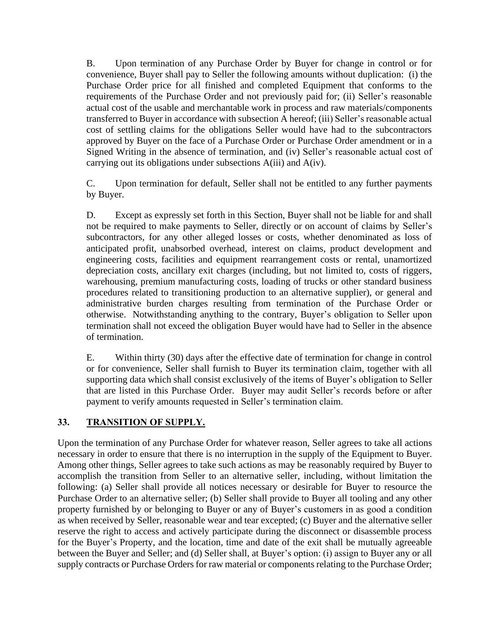B. Upon termination of any Purchase Order by Buyer for change in control or for convenience, Buyer shall pay to Seller the following amounts without duplication: (i) the Purchase Order price for all finished and completed Equipment that conforms to the requirements of the Purchase Order and not previously paid for; (ii) Seller's reasonable actual cost of the usable and merchantable work in process and raw materials/components transferred to Buyer in accordance with subsection A hereof; (iii) Seller's reasonable actual cost of settling claims for the obligations Seller would have had to the subcontractors approved by Buyer on the face of a Purchase Order or Purchase Order amendment or in a Signed Writing in the absence of termination, and (iv) Seller's reasonable actual cost of carrying out its obligations under subsections A(iii) and A(iv).

C. Upon termination for default, Seller shall not be entitled to any further payments by Buyer.

D. Except as expressly set forth in this Section, Buyer shall not be liable for and shall not be required to make payments to Seller, directly or on account of claims by Seller's subcontractors, for any other alleged losses or costs, whether denominated as loss of anticipated profit, unabsorbed overhead, interest on claims, product development and engineering costs, facilities and equipment rearrangement costs or rental, unamortized depreciation costs, ancillary exit charges (including, but not limited to, costs of riggers, warehousing, premium manufacturing costs, loading of trucks or other standard business procedures related to transitioning production to an alternative supplier), or general and administrative burden charges resulting from termination of the Purchase Order or otherwise. Notwithstanding anything to the contrary, Buyer's obligation to Seller upon termination shall not exceed the obligation Buyer would have had to Seller in the absence of termination.

E. Within thirty (30) days after the effective date of termination for change in control or for convenience, Seller shall furnish to Buyer its termination claim, together with all supporting data which shall consist exclusively of the items of Buyer's obligation to Seller that are listed in this Purchase Order. Buyer may audit Seller's records before or after payment to verify amounts requested in Seller's termination claim.

# **33. TRANSITION OF SUPPLY.**

Upon the termination of any Purchase Order for whatever reason, Seller agrees to take all actions necessary in order to ensure that there is no interruption in the supply of the Equipment to Buyer. Among other things, Seller agrees to take such actions as may be reasonably required by Buyer to accomplish the transition from Seller to an alternative seller, including, without limitation the following: (a) Seller shall provide all notices necessary or desirable for Buyer to resource the Purchase Order to an alternative seller; (b) Seller shall provide to Buyer all tooling and any other property furnished by or belonging to Buyer or any of Buyer's customers in as good a condition as when received by Seller, reasonable wear and tear excepted; (c) Buyer and the alternative seller reserve the right to access and actively participate during the disconnect or disassemble process for the Buyer's Property, and the location, time and date of the exit shall be mutually agreeable between the Buyer and Seller; and (d) Seller shall, at Buyer's option: (i) assign to Buyer any or all supply contracts or Purchase Orders for raw material or components relating to the Purchase Order;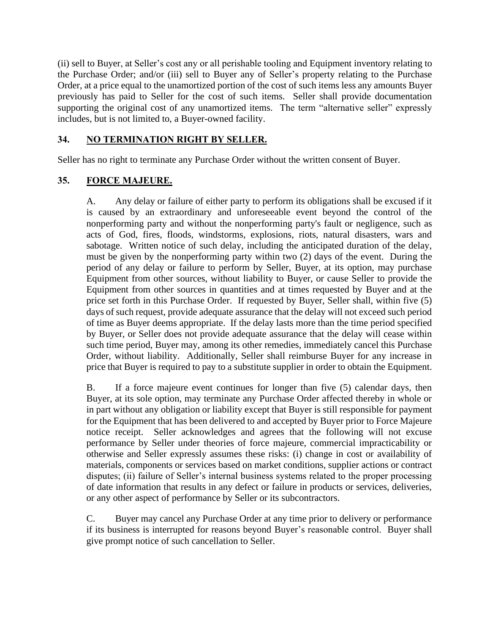(ii) sell to Buyer, at Seller's cost any or all perishable tooling and Equipment inventory relating to the Purchase Order; and/or (iii) sell to Buyer any of Seller's property relating to the Purchase Order, at a price equal to the unamortized portion of the cost of such items less any amounts Buyer previously has paid to Seller for the cost of such items. Seller shall provide documentation supporting the original cost of any unamortized items. The term "alternative seller" expressly includes, but is not limited to, a Buyer-owned facility.

## **34. NO TERMINATION RIGHT BY SELLER.**

Seller has no right to terminate any Purchase Order without the written consent of Buyer.

### **35. FORCE MAJEURE.**

A. Any delay or failure of either party to perform its obligations shall be excused if it is caused by an extraordinary and unforeseeable event beyond the control of the nonperforming party and without the nonperforming party's fault or negligence, such as acts of God, fires, floods, windstorms, explosions, riots, natural disasters, wars and sabotage. Written notice of such delay, including the anticipated duration of the delay, must be given by the nonperforming party within two (2) days of the event. During the period of any delay or failure to perform by Seller, Buyer, at its option, may purchase Equipment from other sources, without liability to Buyer, or cause Seller to provide the Equipment from other sources in quantities and at times requested by Buyer and at the price set forth in this Purchase Order. If requested by Buyer, Seller shall, within five (5) days of such request, provide adequate assurance that the delay will not exceed such period of time as Buyer deems appropriate. If the delay lasts more than the time period specified by Buyer, or Seller does not provide adequate assurance that the delay will cease within such time period, Buyer may, among its other remedies, immediately cancel this Purchase Order, without liability. Additionally, Seller shall reimburse Buyer for any increase in price that Buyer is required to pay to a substitute supplier in order to obtain the Equipment.

B. If a force majeure event continues for longer than five (5) calendar days, then Buyer, at its sole option, may terminate any Purchase Order affected thereby in whole or in part without any obligation or liability except that Buyer is still responsible for payment for the Equipment that has been delivered to and accepted by Buyer prior to Force Majeure notice receipt. Seller acknowledges and agrees that the following will not excuse performance by Seller under theories of force majeure, commercial impracticability or otherwise and Seller expressly assumes these risks: (i) change in cost or availability of materials, components or services based on market conditions, supplier actions or contract disputes; (ii) failure of Seller's internal business systems related to the proper processing of date information that results in any defect or failure in products or services, deliveries, or any other aspect of performance by Seller or its subcontractors.

C. Buyer may cancel any Purchase Order at any time prior to delivery or performance if its business is interrupted for reasons beyond Buyer's reasonable control. Buyer shall give prompt notice of such cancellation to Seller.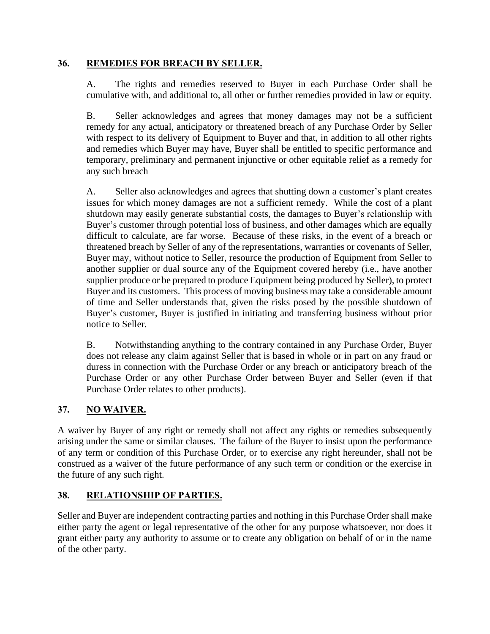### **36. REMEDIES FOR BREACH BY SELLER.**

A. The rights and remedies reserved to Buyer in each Purchase Order shall be cumulative with, and additional to, all other or further remedies provided in law or equity.

B. Seller acknowledges and agrees that money damages may not be a sufficient remedy for any actual, anticipatory or threatened breach of any Purchase Order by Seller with respect to its delivery of Equipment to Buyer and that, in addition to all other rights and remedies which Buyer may have, Buyer shall be entitled to specific performance and temporary, preliminary and permanent injunctive or other equitable relief as a remedy for any such breach

A. Seller also acknowledges and agrees that shutting down a customer's plant creates issues for which money damages are not a sufficient remedy. While the cost of a plant shutdown may easily generate substantial costs, the damages to Buyer's relationship with Buyer's customer through potential loss of business, and other damages which are equally difficult to calculate, are far worse. Because of these risks, in the event of a breach or threatened breach by Seller of any of the representations, warranties or covenants of Seller, Buyer may, without notice to Seller, resource the production of Equipment from Seller to another supplier or dual source any of the Equipment covered hereby (i.e., have another supplier produce or be prepared to produce Equipment being produced by Seller), to protect Buyer and its customers. This process of moving business may take a considerable amount of time and Seller understands that, given the risks posed by the possible shutdown of Buyer's customer, Buyer is justified in initiating and transferring business without prior notice to Seller.

B. Notwithstanding anything to the contrary contained in any Purchase Order, Buyer does not release any claim against Seller that is based in whole or in part on any fraud or duress in connection with the Purchase Order or any breach or anticipatory breach of the Purchase Order or any other Purchase Order between Buyer and Seller (even if that Purchase Order relates to other products).

### **37. NO WAIVER.**

A waiver by Buyer of any right or remedy shall not affect any rights or remedies subsequently arising under the same or similar clauses. The failure of the Buyer to insist upon the performance of any term or condition of this Purchase Order, or to exercise any right hereunder, shall not be construed as a waiver of the future performance of any such term or condition or the exercise in the future of any such right.

# **38. RELATIONSHIP OF PARTIES.**

Seller and Buyer are independent contracting parties and nothing in this Purchase Order shall make either party the agent or legal representative of the other for any purpose whatsoever, nor does it grant either party any authority to assume or to create any obligation on behalf of or in the name of the other party.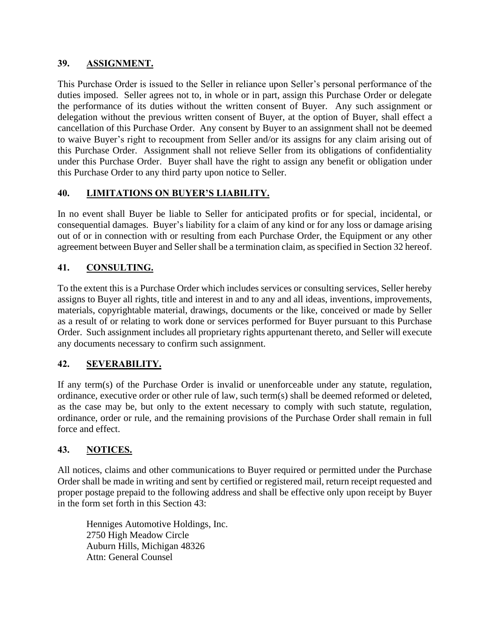#### **39. ASSIGNMENT.**

This Purchase Order is issued to the Seller in reliance upon Seller's personal performance of the duties imposed. Seller agrees not to, in whole or in part, assign this Purchase Order or delegate the performance of its duties without the written consent of Buyer. Any such assignment or delegation without the previous written consent of Buyer, at the option of Buyer, shall effect a cancellation of this Purchase Order. Any consent by Buyer to an assignment shall not be deemed to waive Buyer's right to recoupment from Seller and/or its assigns for any claim arising out of this Purchase Order. Assignment shall not relieve Seller from its obligations of confidentiality under this Purchase Order. Buyer shall have the right to assign any benefit or obligation under this Purchase Order to any third party upon notice to Seller.

# **40. LIMITATIONS ON BUYER'S LIABILITY.**

In no event shall Buyer be liable to Seller for anticipated profits or for special, incidental, or consequential damages. Buyer's liability for a claim of any kind or for any loss or damage arising out of or in connection with or resulting from each Purchase Order, the Equipment or any other agreement between Buyer and Seller shall be a termination claim, as specified in Section 32 hereof.

## **41. CONSULTING.**

To the extent this is a Purchase Order which includes services or consulting services, Seller hereby assigns to Buyer all rights, title and interest in and to any and all ideas, inventions, improvements, materials, copyrightable material, drawings, documents or the like, conceived or made by Seller as a result of or relating to work done or services performed for Buyer pursuant to this Purchase Order. Such assignment includes all proprietary rights appurtenant thereto, and Seller will execute any documents necessary to confirm such assignment.

# **42. SEVERABILITY.**

If any term(s) of the Purchase Order is invalid or unenforceable under any statute, regulation, ordinance, executive order or other rule of law, such term(s) shall be deemed reformed or deleted, as the case may be, but only to the extent necessary to comply with such statute, regulation, ordinance, order or rule, and the remaining provisions of the Purchase Order shall remain in full force and effect.

### **43. NOTICES.**

All notices, claims and other communications to Buyer required or permitted under the Purchase Order shall be made in writing and sent by certified or registered mail, return receipt requested and proper postage prepaid to the following address and shall be effective only upon receipt by Buyer in the form set forth in this Section 43:

Henniges Automotive Holdings, Inc. 2750 High Meadow Circle Auburn Hills, Michigan 48326 Attn: General Counsel